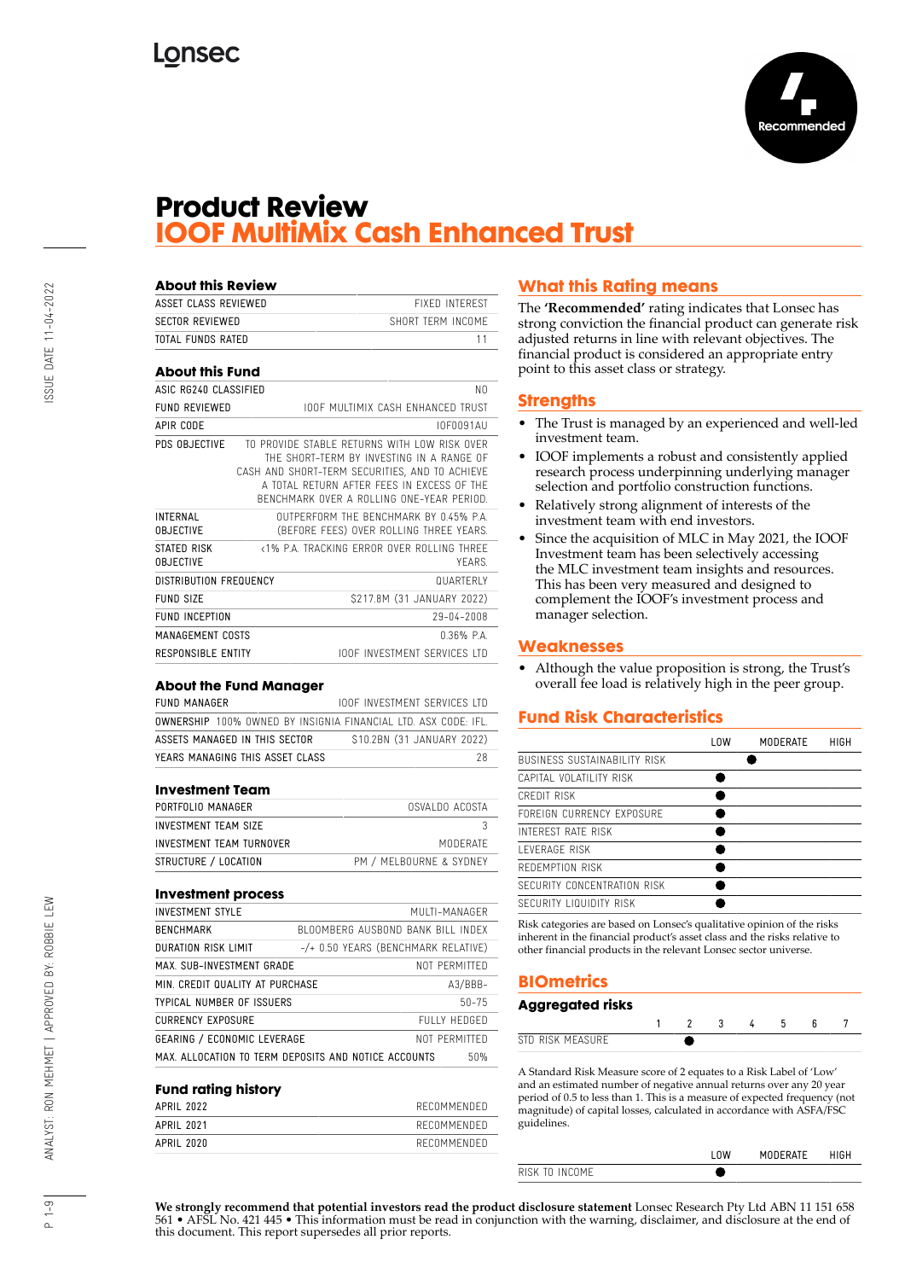

## **Product Review IOOF MultiMix Cash Enhanced Trust**

| <b>About this Review</b>            |                                                                                                                                                                                                                                       |              |
|-------------------------------------|---------------------------------------------------------------------------------------------------------------------------------------------------------------------------------------------------------------------------------------|--------------|
| ASSET CLASS REVIEWED                | <b>FIXED INTEREST</b>                                                                                                                                                                                                                 |              |
| <b>SECTOR REVIEWED</b>              | SHORT TERM INCOME                                                                                                                                                                                                                     |              |
| TOTAL FUNDS RATED                   |                                                                                                                                                                                                                                       | 11           |
| <b>About this Fund</b>              |                                                                                                                                                                                                                                       |              |
| ASIC RG240 CLASSIFIED               |                                                                                                                                                                                                                                       | N0           |
| <b>FUND REVIEWED</b>                | <b>IOOF MULTIMIX CASH ENHANCED TRUST</b>                                                                                                                                                                                              |              |
| <b>APIR CODE</b>                    | IOF0091AU                                                                                                                                                                                                                             |              |
| PDS OBJECTIVE                       | TO PROVIDE STABLE RETURNS WITH LOW RISK OVER<br>THE SHORT-TERM BY INVESTING IN A RANGE OF<br>CASH AND SHORT-TERM SECURITIES, AND TO ACHIEVE<br>A TOTAL RETURN AFTER FEES IN EXCESS OF THE<br>BENCHMARK OVER A ROLLING ONE-YEAR PERIOD |              |
| <b>INTERNAL</b><br><b>OBJECTIVE</b> | OUTPERFORM THE RENCHMARK BY 045% PA<br>(BEFORE FEES) OVER ROLLING THREE YEARS.                                                                                                                                                        |              |
| STATED RISK<br><b>OBJECTIVE</b>     | <1% PA TRACKING FRROR OVER ROLLING THREE                                                                                                                                                                                              | <b>YFARS</b> |
| DISTRIBUTION FREQUENCY              | <b>QUARTERIY</b>                                                                                                                                                                                                                      |              |
| FUND SIZE                           | \$217.8M (31 JANUARY 2022)                                                                                                                                                                                                            |              |
| <b>FUND INCEPTION</b>               | 29-04-2008                                                                                                                                                                                                                            |              |
| MANAGEMENT COSTS                    | $0.36%$ P.A.                                                                                                                                                                                                                          |              |
| RESPONSIBLE ENTITY                  | <b>IOOF INVESTMENT SERVICES ITD</b>                                                                                                                                                                                                   |              |

#### **About the Fund Manager**

| FUND MANAGER                                                          |  |  |  |  |  | TOOF INVESTMENT SERVICES LTD |    |
|-----------------------------------------------------------------------|--|--|--|--|--|------------------------------|----|
| <b>OWNERSHIP</b> 100% OWNED BY INSIGNIA FINANCIAL LTD. ASX CODE: IFL. |  |  |  |  |  |                              |    |
| ASSETS MANAGED IN THIS SECTOR                                         |  |  |  |  |  | \$10.2BN (31 JANUARY 2022)   |    |
| YEARS MANAGING THIS ASSET CLASS                                       |  |  |  |  |  |                              | 28 |

#### **Investment Team**

| PORTFOLIO MANAGER        | OSVALDO ACOSTA          |
|--------------------------|-------------------------|
| INVESTMENT TEAM SIZE     |                         |
| INVESTMENT TEAM TURNOVER | MODERATE                |
| STRUCTURE / LOCATION     | PM / MELBOURNE & SYDNEY |

#### **Investment process**

| <b>INVESTMENT STYLE</b>            | MUITI-MANAGER                                               |
|------------------------------------|-------------------------------------------------------------|
| <b>BENCHMARK</b>                   | BLOOMBERG AUSBOND BANK BILL INDEX                           |
| <b>DURATION RISK LIMIT</b>         | $-$ /+ 0.50 YEARS (BENCHMARK RELATIVE)                      |
| MAX. SUB-INVESTMENT GRADE          | NOT PFRMITTFD                                               |
| MIN. CREDIT QUALITY AT PURCHASE    | $A3/BBB-$                                                   |
| TYPICAL NUMBER OF ISSUERS          | $50 - 75$                                                   |
| <b>CURRENCY EXPOSURE</b>           | FULLY HEDGED                                                |
| <b>GEARING / ECONOMIC LEVERAGE</b> | NOT PFRMITTED                                               |
|                                    | MAX. ALLOCATION TO TERM DEPOSITS AND NOTICE ACCOUNTS<br>50% |

#### **Fund rating history**

| APRIL 2022 | RECOMMENDED |
|------------|-------------|
| APRIL 2021 | RECOMMENDED |
| APRIL 2020 | RECOMMENDED |
|            |             |

#### **What this Rating means**

The **'Recommended'** rating indicates that Lonsec has strong conviction the financial product can generate risk adjusted returns in line with relevant objectives. The financial product is considered an appropriate entry point to this asset class or strategy.

#### **Strengths**

- The Trust is managed by an experienced and well-led investment team.
- IOOF implements a robust and consistently applied research process underpinning underlying manager selection and portfolio construction functions.
- Relatively strong alignment of interests of the investment team with end investors.
- Since the acquisition of MLC in May 2021, the IOOF Investment team has been selectively accessing the MLC investment team insights and resources. This has been very measured and designed to complement the IOOF's investment process and manager selection.

#### **Weaknesses**

• Although the value proposition is strong, the Trust's overall fee load is relatively high in the peer group.

#### **Fund Risk Characteristics**

|                                     | l OW | MODERATE | HIGH |
|-------------------------------------|------|----------|------|
| <b>BUSINESS SUSTAINABILITY RISK</b> |      |          |      |
| CAPITAL VOLATILITY RISK             |      |          |      |
| CREDIT RISK                         |      |          |      |
| FORFIGN CURRENCY EXPOSURE           |      |          |      |
| INTEREST RATE RISK                  |      |          |      |
| I FVFRAGF RISK                      |      |          |      |
| REDEMPTION RISK                     |      |          |      |
| SECURITY CONCENTRATION RISK         |      |          |      |
| SECURITY LIQUIDITY RISK             |      |          |      |

Risk categories are based on Lonsec's qualitative opinion of the risks inherent in the financial product's asset class and the risks relative to other financial products in the relevant Lonsec sector universe.

#### **BIOmetrics**

#### **Aggregated risks**

| <b>D RISK MEASHRE</b><br><b>CTF</b> |  |  |  |  |
|-------------------------------------|--|--|--|--|

A Standard Risk Measure score of 2 equates to a Risk Label of 'Low' and an estimated number of negative annual returns over any 20 year period of 0.5 to less than 1. This is a measure of expected frequency (not magnitude) of capital losses, calculated in accordance with ASFA/FSC guidelines.

|                           | <b>OW</b> | <b>DERATE</b> |  |
|---------------------------|-----------|---------------|--|
| $1 \times K$<br>INII IM L |           |               |  |
|                           |           |               |  |

**We strongly recommend that potential investors read the product disclosure statement** Lonsec Research Pty Ltd ABN 11 151 658 561 • AFSL No. 421 445 • This information must be read in conjunction with the warning, disclaimer, and disclosure at the end of this document. This report supersedes all prior reports.

 $\frac{9}{1}$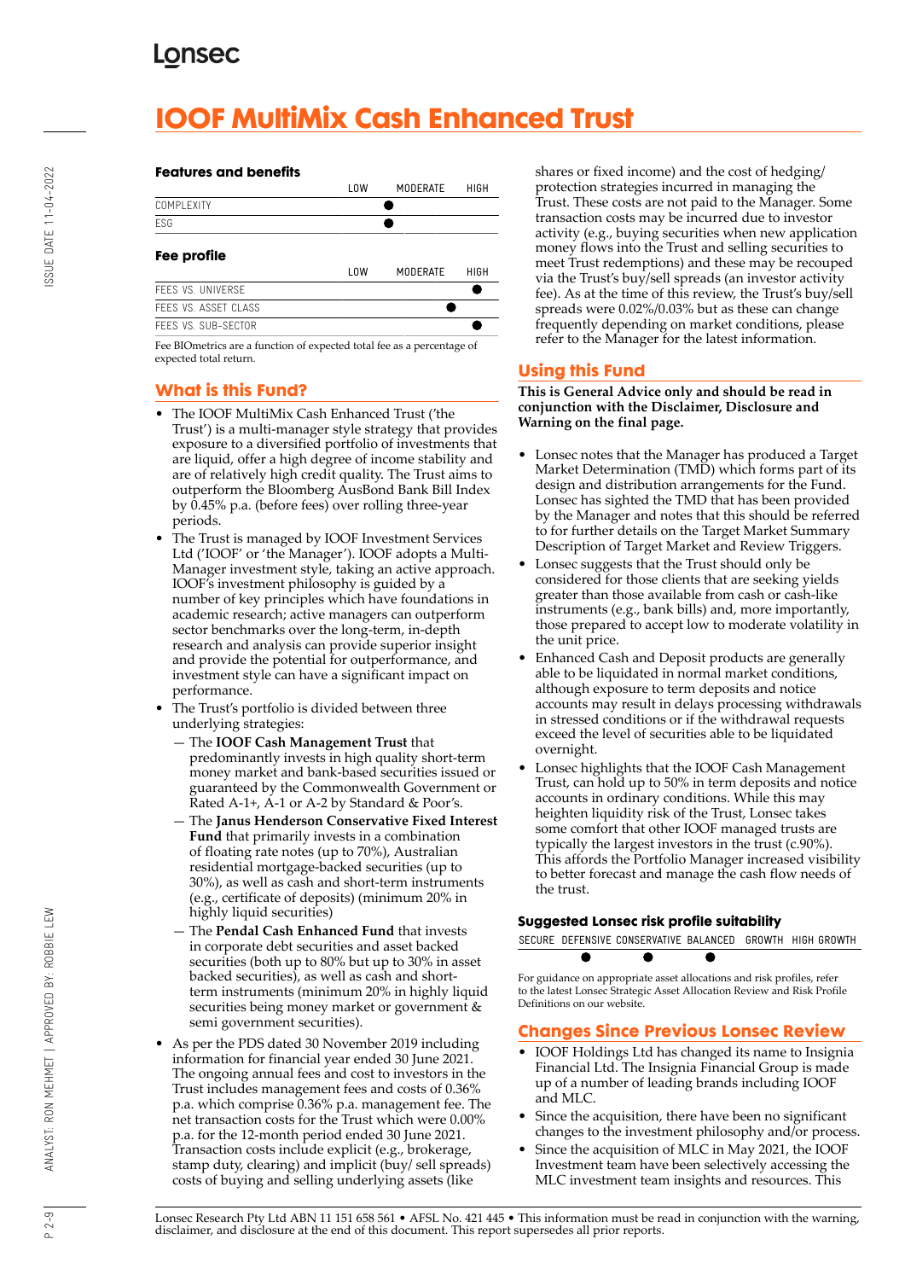# **IOOF MultiMix Cash Enhanced Trust**

# ISSUE DATE 11-04-2022 P 2-9 ANALYST: RON MEHMET | APPROVED BY: ROBBIE LEW ISSUE DATE DATE 11-04-2022 ASSUE DATE 11-04-2022

#### **Features and benefits**



Fee BIOmetrics are a function of expected total fee as a percentage of expected total return.

#### **What is this Fund?**

- The IOOF MultiMix Cash Enhanced Trust ('the Trust') is a multi-manager style strategy that provides exposure to a diversified portfolio of investments that are liquid, offer a high degree of income stability and are of relatively high credit quality. The Trust aims to outperform the Bloomberg AusBond Bank Bill Index by 0.45% p.a. (before fees) over rolling three-year periods.
- The Trust is managed by IOOF Investment Services Ltd ('IOOF' or 'the Manager'). IOOF adopts a Multi-Manager investment style, taking an active approach. IOOF's investment philosophy is guided by a number of key principles which have foundations in academic research; active managers can outperform sector benchmarks over the long-term, in-depth research and analysis can provide superior insight and provide the potential for outperformance, and investment style can have a significant impact on performance.
- The Trust's portfolio is divided between three underlying strategies:
	- The **IOOF Cash Management Trust** that predominantly invests in high quality short-term money market and bank-based securities issued or guaranteed by the Commonwealth Government or Rated A-1+, A-1 or A-2 by Standard & Poor's.
	- The **Janus Henderson Conservative Fixed Interest Fund** that primarily invests in a combination of floating rate notes (up to 70%), Australian residential mortgage-backed securities (up to 30%), as well as cash and short-term instruments (e.g., certificate of deposits) (minimum 20% in highly liquid securities)
	- The **Pendal Cash Enhanced Fund** that invests in corporate debt securities and asset backed securities (both up to 80% but up to 30% in asset backed securities), as well as cash and shortterm instruments (minimum 20% in highly liquid securities being money market or government & semi government securities).
- As per the PDS dated 30 November 2019 including information for financial year ended 30 June 2021. The ongoing annual fees and cost to investors in the Trust includes management fees and costs of 0.36% p.a. which comprise 0.36% p.a. management fee. The net transaction costs for the Trust which were 0.00% p.a. for the 12-month period ended 30 June 2021. Transaction costs include explicit (e.g., brokerage, stamp duty, clearing) and implicit (buy/ sell spreads) costs of buying and selling underlying assets (like

shares or fixed income) and the cost of hedging/ protection strategies incurred in managing the Trust. These costs are not paid to the Manager. Some transaction costs may be incurred due to investor activity (e.g., buying securities when new application money flows into the Trust and selling securities to meet Trust redemptions) and these may be recouped via the Trust's buy/sell spreads (an investor activity fee). As at the time of this review, the Trust's buy/sell spreads were 0.02%/0.03% but as these can change frequently depending on market conditions, please refer to the Manager for the latest information.

#### **Using this Fund**

**This is General Advice only and should be read in conjunction with the Disclaimer, Disclosure and Warning on the final page.**

- Lonsec notes that the Manager has produced a Target Market Determination (TMD) which forms part of its design and distribution arrangements for the Fund. Lonsec has sighted the TMD that has been provided by the Manager and notes that this should be referred to for further details on the Target Market Summary Description of Target Market and Review Triggers.
- Lonsec suggests that the Trust should only be considered for those clients that are seeking yields greater than those available from cash or cash-like instruments (e.g., bank bills) and, more importantly, those prepared to accept low to moderate volatility in the unit price.
- Enhanced Cash and Deposit products are generally able to be liquidated in normal market conditions, although exposure to term deposits and notice accounts may result in delays processing withdrawals in stressed conditions or if the withdrawal requests exceed the level of securities able to be liquidated overnight.
- Lonsec highlights that the IOOF Cash Management Trust, can hold up to 50% in term deposits and notice accounts in ordinary conditions. While this may heighten liquidity risk of the Trust, Lonsec takes some comfort that other IOOF managed trusts are typically the largest investors in the trust (c.90%). This affords the Portfolio Manager increased visibility to better forecast and manage the cash flow needs of the trust.

#### **Suggested Lonsec risk profile suitability**

SECURE DEFENSIVE CONSERVATIVE BALANCED GROWTH HIGH GROWTH  $\bullet$  $\bullet$  $\bullet$ 

For guidance on appropriate asset allocations and risk profiles, refer to the latest Lonsec Strategic Asset Allocation Review and Risk Profile Definitions on our website.

#### **Changes Since Previous Lonsec Review**

- IOOF Holdings Ltd has changed its name to Insignia Financial Ltd. The Insignia Financial Group is made up of a number of leading brands including IOOF and MLC.
- Since the acquisition, there have been no significant changes to the investment philosophy and/or process.
- Since the acquisition of MLC in May 2021, the IOOF Investment team have been selectively accessing the MLC investment team insights and resources. This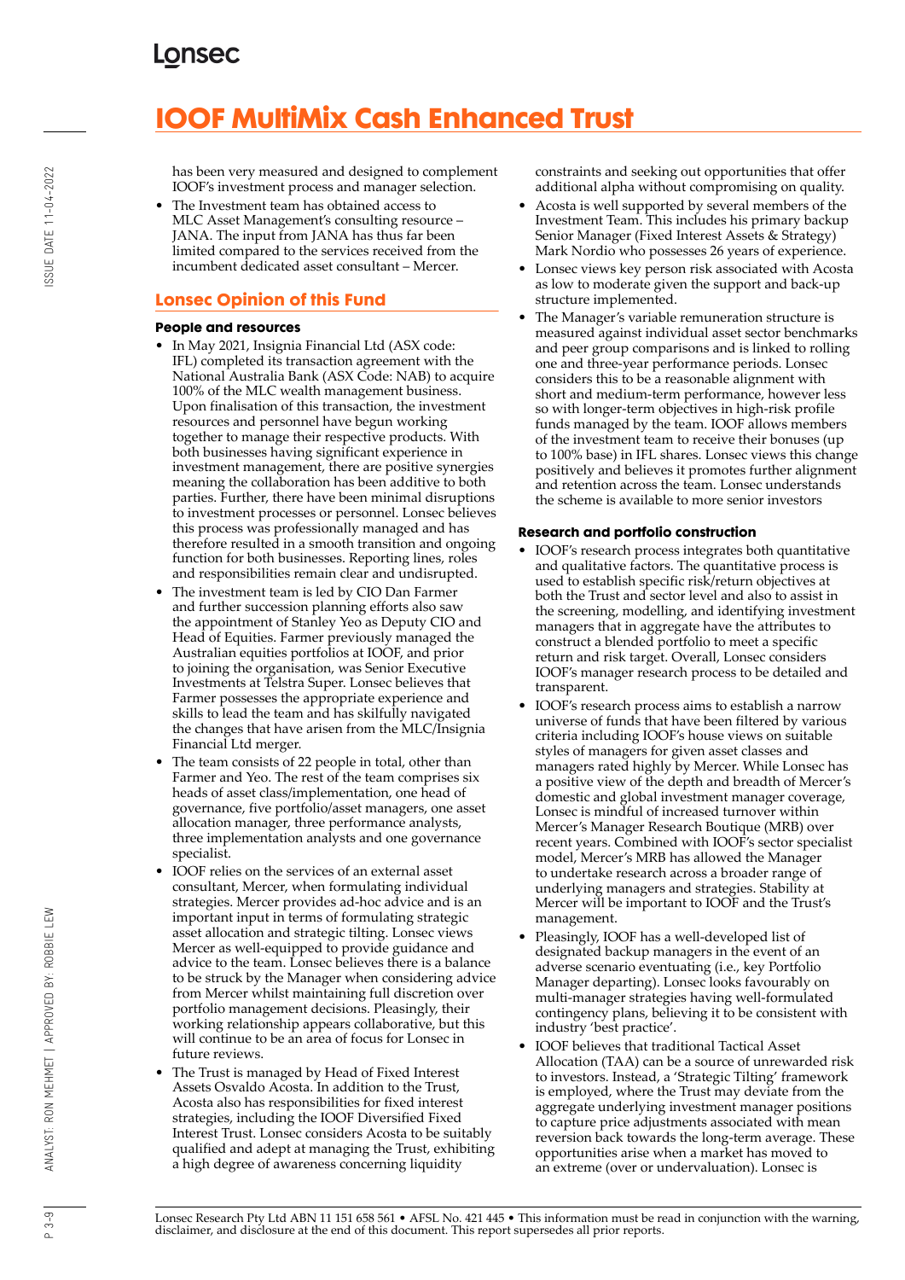# **IOOF MultiMix Cash Enhanced Trust**

has been very measured and designed to complement IOOF's investment process and manager selection.

• The Investment team has obtained access to MLC Asset Management's consulting resource – JANA. The input from JANA has thus far been limited compared to the services received from the incumbent dedicated asset consultant – Mercer.

#### **Lonsec Opinion of this Fund**

#### **People and resources**

- In May 2021, Insignia Financial Ltd (ASX code: IFL) completed its transaction agreement with the National Australia Bank (ASX Code: NAB) to acquire 100% of the MLC wealth management business. Upon finalisation of this transaction, the investment resources and personnel have begun working together to manage their respective products. With both businesses having significant experience in investment management, there are positive synergies meaning the collaboration has been additive to both parties. Further, there have been minimal disruptions to investment processes or personnel. Lonsec believes this process was professionally managed and has therefore resulted in a smooth transition and ongoing function for both businesses. Reporting lines, roles and responsibilities remain clear and undisrupted.
- The investment team is led by CIO Dan Farmer and further succession planning efforts also saw the appointment of Stanley Yeo as Deputy CIO and Head of Equities. Farmer previously managed the Australian equities portfolios at IOOF, and prior to joining the organisation, was Senior Executive Investments at Telstra Super. Lonsec believes that Farmer possesses the appropriate experience and skills to lead the team and has skilfully navigated the changes that have arisen from the MLC/Insignia Financial Ltd merger.
- The team consists of 22 people in total, other than Farmer and Yeo. The rest of the team comprises six heads of asset class/implementation, one head of governance, five portfolio/asset managers, one asset allocation manager, three performance analysts, three implementation analysts and one governance specialist.
- IOOF relies on the services of an external asset consultant, Mercer, when formulating individual strategies. Mercer provides ad-hoc advice and is an important input in terms of formulating strategic asset allocation and strategic tilting. Lonsec views Mercer as well-equipped to provide guidance and advice to the team. Lonsec believes there is a balance to be struck by the Manager when considering advice from Mercer whilst maintaining full discretion over portfolio management decisions. Pleasingly, their working relationship appears collaborative, but this will continue to be an area of focus for Lonsec in future reviews.
- The Trust is managed by Head of Fixed Interest Assets Osvaldo Acosta. In addition to the Trust, Acosta also has responsibilities for fixed interest strategies, including the IOOF Diversified Fixed Interest Trust. Lonsec considers Acosta to be suitably qualified and adept at managing the Trust, exhibiting a high degree of awareness concerning liquidity

constraints and seeking out opportunities that offer additional alpha without compromising on quality.

- Acosta is well supported by several members of the Investment Team. This includes his primary backup Senior Manager (Fixed Interest Assets & Strategy) Mark Nordio who possesses 26 years of experience.
- Lonsec views key person risk associated with Acosta as low to moderate given the support and back-up structure implemented.
- The Manager's variable remuneration structure is measured against individual asset sector benchmarks and peer group comparisons and is linked to rolling one and three-year performance periods. Lonsec considers this to be a reasonable alignment with short and medium-term performance, however less so with longer-term objectives in high-risk profile funds managed by the team. IOOF allows members of the investment team to receive their bonuses (up to 100% base) in IFL shares. Lonsec views this change positively and believes it promotes further alignment and retention across the team. Lonsec understands the scheme is available to more senior investors

#### **Research and portfolio construction**

- IOOF's research process integrates both quantitative and qualitative factors. The quantitative process is used to establish specific risk/return objectives at both the Trust and sector level and also to assist in the screening, modelling, and identifying investment managers that in aggregate have the attributes to construct a blended portfolio to meet a specific return and risk target. Overall, Lonsec considers IOOF's manager research process to be detailed and transparent.
- IOOF's research process aims to establish a narrow universe of funds that have been filtered by various criteria including IOOF's house views on suitable styles of managers for given asset classes and managers rated highly by Mercer. While Lonsec has a positive view of the depth and breadth of Mercer's domestic and global investment manager coverage, Lonsec is mindful of increased turnover within Mercer's Manager Research Boutique (MRB) over recent years. Combined with IOOF's sector specialist model, Mercer's MRB has allowed the Manager to undertake research across a broader range of underlying managers and strategies. Stability at Mercer will be important to IOOF and the Trust's management.
- Pleasingly, IOOF has a well-developed list of designated backup managers in the event of an adverse scenario eventuating (i.e., key Portfolio Manager departing). Lonsec looks favourably on multi-manager strategies having well-formulated contingency plans, believing it to be consistent with industry 'best practice'.
- IOOF believes that traditional Tactical Asset Allocation (TAA) can be a source of unrewarded risk to investors. Instead, a 'Strategic Tilting' framework is employed, where the Trust may deviate from the aggregate underlying investment manager positions to capture price adjustments associated with mean reversion back towards the long-term average. These opportunities arise when a market has moved to an extreme (over or undervaluation). Lonsec is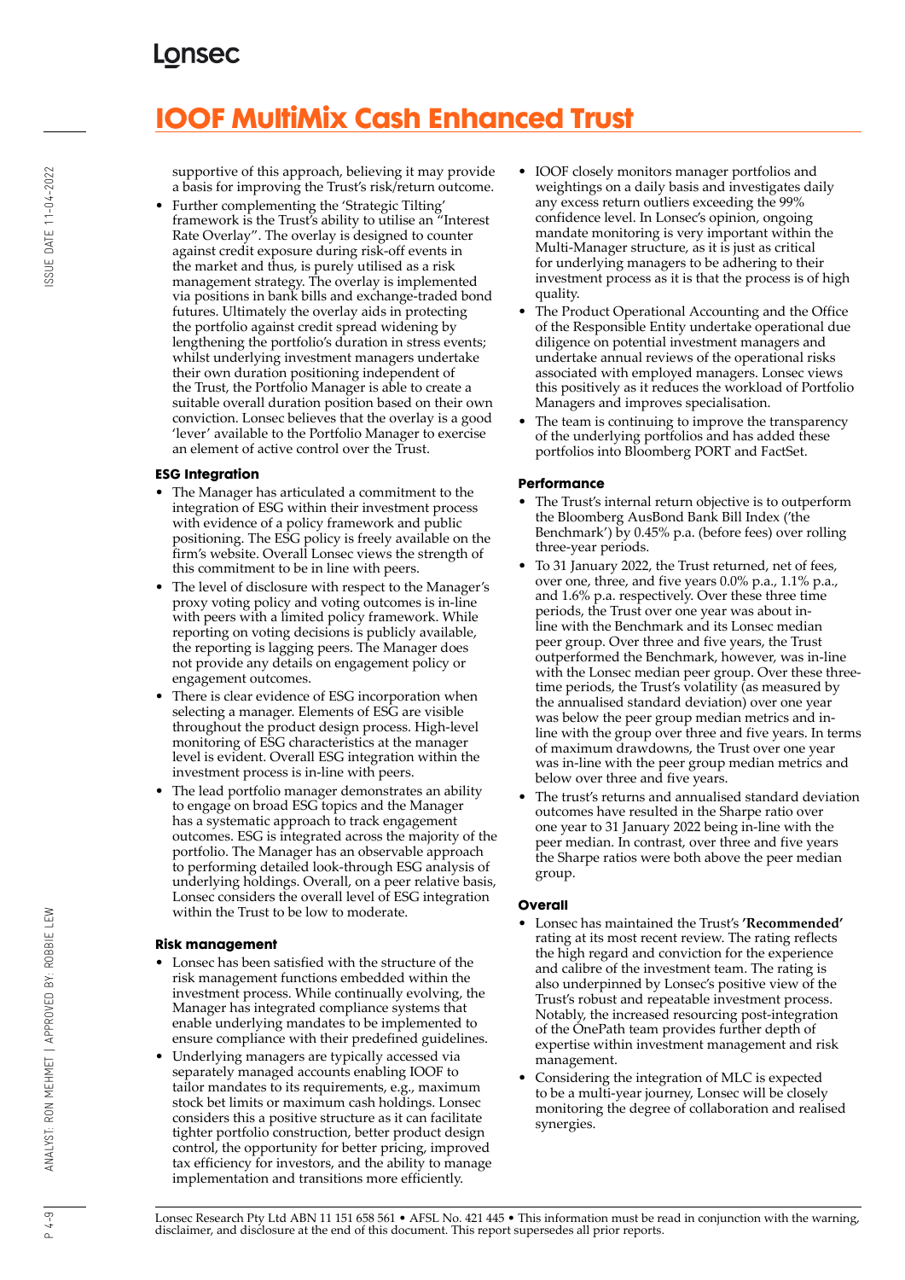# **IOOF MultiMix Cash Enhanced Trust**

supportive of this approach, believing it may provide a basis for improving the Trust's risk/return outcome.

• Further complementing the 'Strategic Tilting' framework is the Trust's ability to utilise an "Interest Rate Overlay". The overlay is designed to counter against credit exposure during risk-off events in the market and thus, is purely utilised as a risk management strategy. The overlay is implemented via positions in bank bills and exchange-traded bond futures. Ultimately the overlay aids in protecting the portfolio against credit spread widening by lengthening the portfolio's duration in stress events; whilst underlying investment managers undertake their own duration positioning independent of the Trust, the Portfolio Manager is able to create a suitable overall duration position based on their own conviction. Lonsec believes that the overlay is a good 'lever' available to the Portfolio Manager to exercise an element of active control over the Trust.

#### **ESG Integration**

- The Manager has articulated a commitment to the integration of ESG within their investment process with evidence of a policy framework and public positioning. The ESG policy is freely available on the firm's website. Overall Lonsec views the strength of this commitment to be in line with peers.
- The level of disclosure with respect to the Manager's proxy voting policy and voting outcomes is in-line with peers with a limited policy framework. While reporting on voting decisions is publicly available, the reporting is lagging peers. The Manager does not provide any details on engagement policy or engagement outcomes.
- There is clear evidence of ESG incorporation when selecting a manager. Elements of ESG are visible throughout the product design process. High-level monitoring of ESG characteristics at the manager level is evident. Overall ESG integration within the investment process is in-line with peers.
- The lead portfolio manager demonstrates an ability to engage on broad ESG topics and the Manager has a systematic approach to track engagement outcomes. ESG is integrated across the majority of the portfolio. The Manager has an observable approach to performing detailed look-through ESG analysis of underlying holdings. Overall, on a peer relative basis, Lonsec considers the overall level of ESG integration within the Trust to be low to moderate.

#### **Risk management**

- Lonsec has been satisfied with the structure of the risk management functions embedded within the investment process. While continually evolving, the Manager has integrated compliance systems that enable underlying mandates to be implemented to ensure compliance with their predefined guidelines.
- Underlying managers are typically accessed via separately managed accounts enabling IOOF to tailor mandates to its requirements, e.g., maximum stock bet limits or maximum cash holdings. Lonsec considers this a positive structure as it can facilitate tighter portfolio construction, better product design control, the opportunity for better pricing, improved tax efficiency for investors, and the ability to manage implementation and transitions more efficiently.
- IOOF closely monitors manager portfolios and weightings on a daily basis and investigates daily any excess return outliers exceeding the 99% confidence level. In Lonsec's opinion, ongoing mandate monitoring is very important within the Multi-Manager structure, as it is just as critical for underlying managers to be adhering to their investment process as it is that the process is of high quality.
- The Product Operational Accounting and the Office of the Responsible Entity undertake operational due diligence on potential investment managers and undertake annual reviews of the operational risks associated with employed managers. Lonsec views this positively as it reduces the workload of Portfolio Managers and improves specialisation.
- The team is continuing to improve the transparency of the underlying portfolios and has added these portfolios into Bloomberg PORT and FactSet.

#### **Performance**

- The Trust's internal return objective is to outperform the Bloomberg AusBond Bank Bill Index ('the Benchmark') by 0.45% p.a. (before fees) over rolling three-year periods.
- To 31 January 2022, the Trust returned, net of fees, over one, three, and five years 0.0% p.a., 1.1% p.a., and 1.6% p.a. respectively. Over these three time periods, the Trust over one year was about inline with the Benchmark and its Lonsec median peer group. Over three and five years, the Trust outperformed the Benchmark, however, was in-line with the Lonsec median peer group. Over these threetime periods, the Trust's volatility (as measured by the annualised standard deviation) over one year was below the peer group median metrics and inline with the group over three and five years. In terms of maximum drawdowns, the Trust over one year was in-line with the peer group median metrics and below over three and five years.
- The trust's returns and annualised standard deviation outcomes have resulted in the Sharpe ratio over one year to 31 January 2022 being in-line with the peer median. In contrast, over three and five years the Sharpe ratios were both above the peer median group.

#### **Overall**

- Lonsec has maintained the Trust's **'Recommended'** rating at its most recent review. The rating reflects the high regard and conviction for the experience and calibre of the investment team. The rating is also underpinned by Lonsec's positive view of the Trust's robust and repeatable investment process. Notably, the increased resourcing post-integration of the OnePath team provides further depth of expertise within investment management and risk management.
- Considering the integration of MLC is expected to be a multi-year journey, Lonsec will be closely monitoring the degree of collaboration and realised synergies.

Lonsec Research Pty Ltd ABN 11 151 658 561 • AFSL No. 421 445 • This information must be read in conjunction with the warning, disclaimer, and disclosure at the end of this document. This report supersedes all prior reports.

 $4 - 9$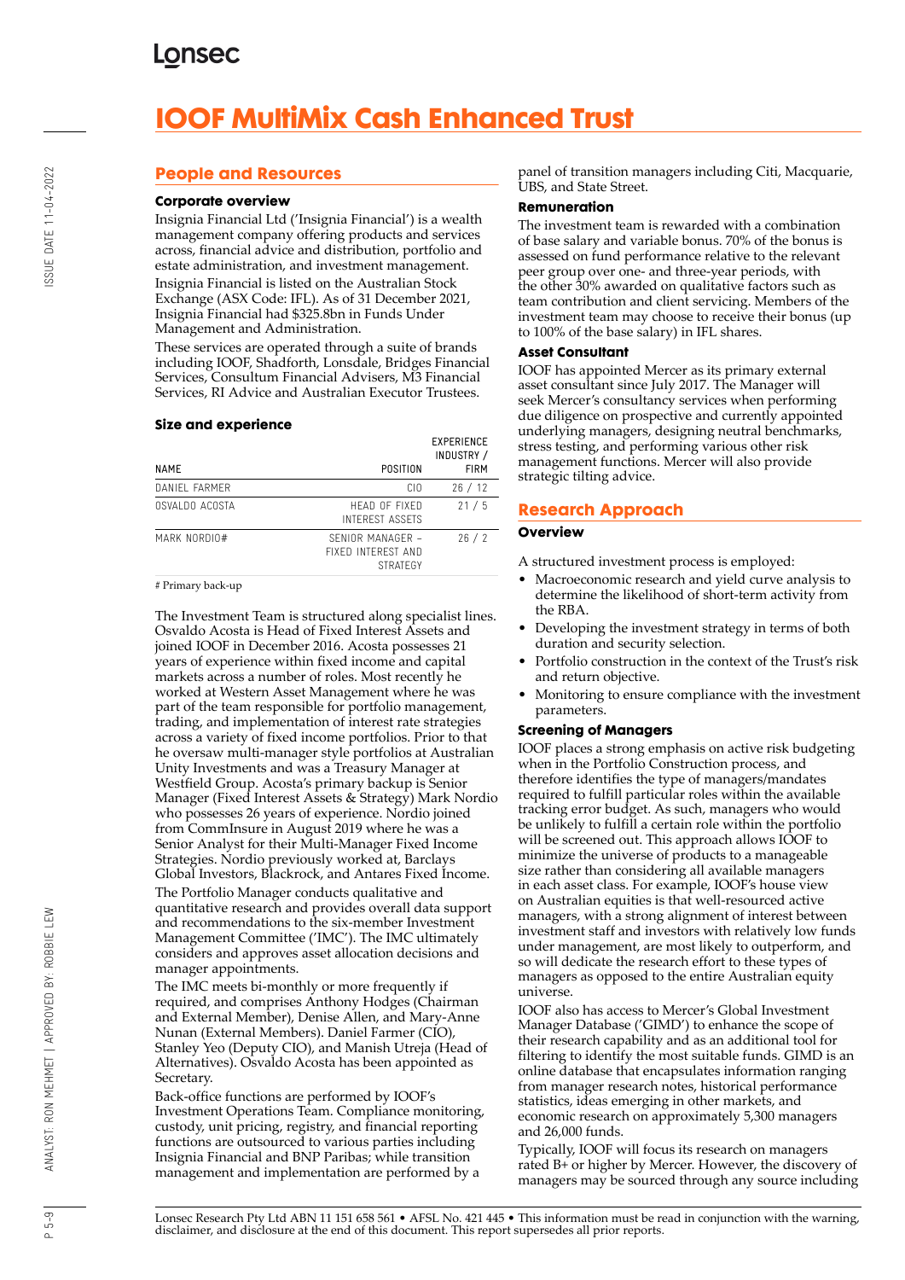# **IOOF MultiMix Cash Enhanced Trust**

#### **People and Resources**

#### **Corporate overview**

Insignia Financial Ltd ('Insignia Financial') is a wealth management company offering products and services across, financial advice and distribution, portfolio and estate administration, and investment management. Insignia Financial is listed on the Australian Stock Exchange (ASX Code: IFL). As of 31 December 2021, Insignia Financial had \$325.8bn in Funds Under Management and Administration.

These services are operated through a suite of brands including IOOF, Shadforth, Lonsdale, Bridges Financial Services, Consultum Financial Advisers, M3 Financial Services, RI Advice and Australian Executor Trustees.

#### **Size and experience**

| POSITION                                                  | <b>EXPERIENCE</b><br>INDUSTRY /<br><b>FIRM</b> |
|-----------------------------------------------------------|------------------------------------------------|
| CIO.                                                      | 26/12                                          |
| HEAD OF FIXED<br><b>INTEREST ASSETS</b>                   | 21/5                                           |
| SENIOR MANAGER -<br>FIXED INTEREST AND<br><b>STRATEGY</b> | 26/2                                           |
|                                                           |                                                |

# Primary back-up

The Investment Team is structured along specialist lines. Osvaldo Acosta is Head of Fixed Interest Assets and joined IOOF in December 2016. Acosta possesses 21 years of experience within fixed income and capital markets across a number of roles. Most recently he worked at Western Asset Management where he was part of the team responsible for portfolio management, trading, and implementation of interest rate strategies across a variety of fixed income portfolios. Prior to that he oversaw multi-manager style portfolios at Australian Unity Investments and was a Treasury Manager at Westfield Group. Acosta's primary backup is Senior Manager (Fixed Interest Assets & Strategy) Mark Nordio who possesses 26 years of experience. Nordio joined from CommInsure in August 2019 where he was a Senior Analyst for their Multi-Manager Fixed Income Strategies. Nordio previously worked at, Barclays Global Investors, Blackrock, and Antares Fixed Income. The Portfolio Manager conducts qualitative and

quantitative research and provides overall data support and recommendations to the six-member Investment Management Committee ('IMC'). The IMC ultimately considers and approves asset allocation decisions and manager appointments.

The IMC meets bi-monthly or more frequently if required, and comprises Anthony Hodges (Chairman and External Member), Denise Allen, and Mary-Anne Nunan (External Members). Daniel Farmer (CIO), Stanley Yeo (Deputy CIO), and Manish Utreja (Head of Alternatives). Osvaldo Acosta has been appointed as Secretary.

Back-office functions are performed by IOOF's Investment Operations Team. Compliance monitoring, custody, unit pricing, registry, and financial reporting functions are outsourced to various parties including Insignia Financial and BNP Paribas; while transition management and implementation are performed by a

panel of transition managers including Citi, Macquarie, UBS, and State Street.

#### **Remuneration**

The investment team is rewarded with a combination of base salary and variable bonus. 70% of the bonus is assessed on fund performance relative to the relevant peer group over one- and three-year periods, with the other 30% awarded on qualitative factors such as team contribution and client servicing. Members of the investment team may choose to receive their bonus (up to 100% of the base salary) in IFL shares.

#### **Asset Consultant**

IOOF has appointed Mercer as its primary external asset consultant since July 2017. The Manager will seek Mercer's consultancy services when performing due diligence on prospective and currently appointed underlying managers, designing neutral benchmarks, stress testing, and performing various other risk management functions. Mercer will also provide strategic tilting advice.

#### **Research Approach**

#### **Overview**

A structured investment process is employed:

- Macroeconomic research and yield curve analysis to determine the likelihood of short-term activity from the RBA.
- Developing the investment strategy in terms of both duration and security selection.
- Portfolio construction in the context of the Trust's risk and return objective.
- Monitoring to ensure compliance with the investment parameters.

#### **Screening of Managers**

IOOF places a strong emphasis on active risk budgeting when in the Portfolio Construction process, and therefore identifies the type of managers/mandates required to fulfill particular roles within the available tracking error budget. As such, managers who would be unlikely to fulfill a certain role within the portfolio will be screened out. This approach allows IOOF to minimize the universe of products to a manageable size rather than considering all available managers in each asset class. For example, IOOF's house view on Australian equities is that well-resourced active managers, with a strong alignment of interest between investment staff and investors with relatively low funds under management, are most likely to outperform, and so will dedicate the research effort to these types of managers as opposed to the entire Australian equity universe.

IOOF also has access to Mercer's Global Investment Manager Database ('GIMD') to enhance the scope of their research capability and as an additional tool for filtering to identify the most suitable funds. GIMD is an online database that encapsulates information ranging from manager research notes, historical performance statistics, ideas emerging in other markets, and economic research on approximately 5,300 managers and 26,000 funds.

Typically, IOOF will focus its research on managers rated B+ or higher by Mercer. However, the discovery of managers may be sourced through any source including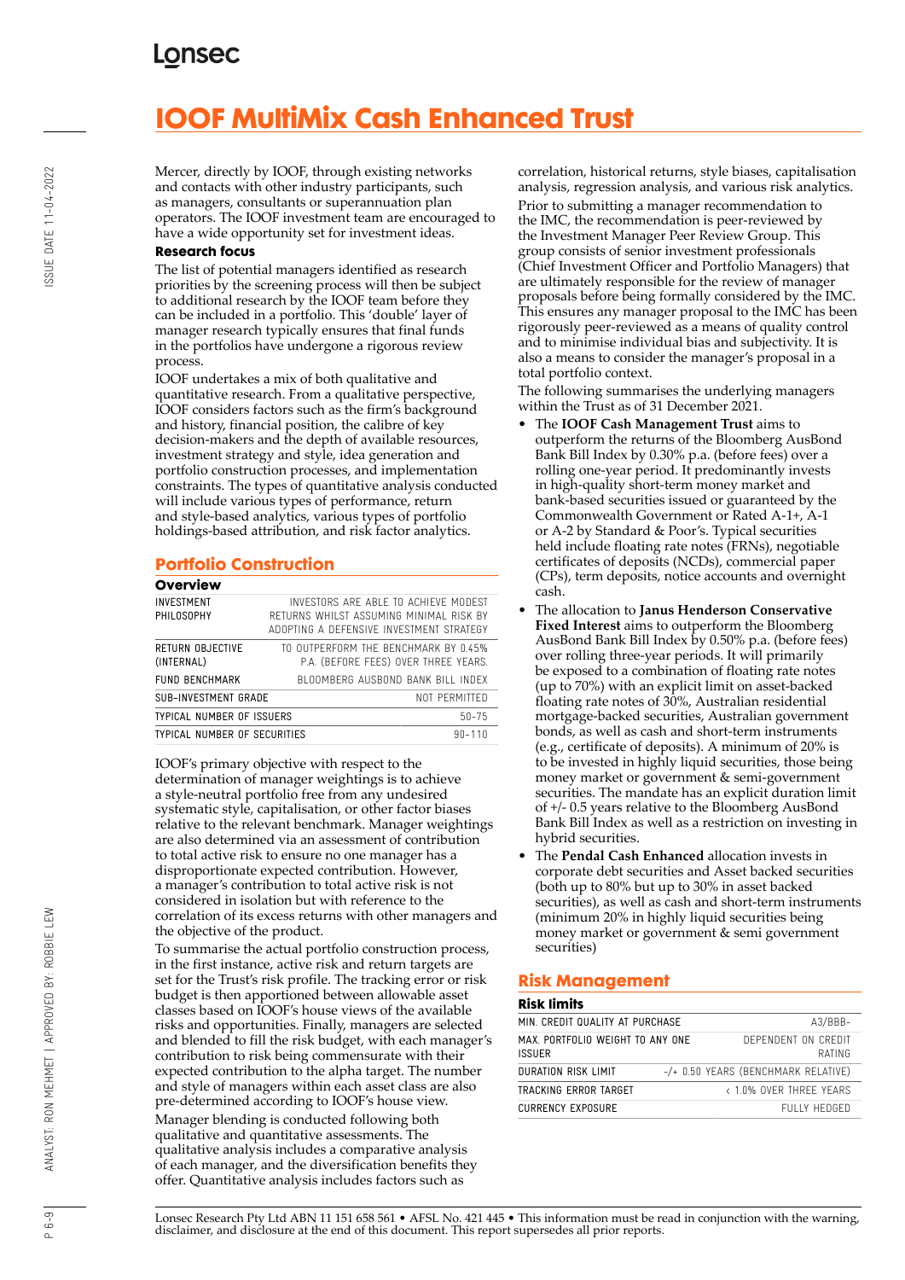# **IOOF MultiMix Cash Enhanced Trust**

Mercer, directly by IOOF, through existing networks and contacts with other industry participants, such as managers, consultants or superannuation plan operators. The IOOF investment team are encouraged to have a wide opportunity set for investment ideas.

#### **Research focus**

The list of potential managers identified as research priorities by the screening process will then be subject to additional research by the IOOF team before they can be included in a portfolio. This 'double' layer of manager research typically ensures that final funds in the portfolios have undergone a rigorous review process.

IOOF undertakes a mix of both qualitative and quantitative research. From a qualitative perspective, IOOF considers factors such as the firm's background and history, financial position, the calibre of key decision-makers and the depth of available resources, investment strategy and style, idea generation and portfolio construction processes, and implementation constraints. The types of quantitative analysis conducted will include various types of performance, return and style-based analytics, various types of portfolio holdings-based attribution, and risk factor analytics.

#### **Portfolio Construction**

| Overview                       |                                                                                                                             |
|--------------------------------|-----------------------------------------------------------------------------------------------------------------------------|
| INVESTMENT<br>PHILOSOPHY       | INVESTORS ARE ABLE TO ACHIEVE MODEST<br>RETURNS WHILST ASSUMING MINIMAL RISK BY<br>ADOPTING A DEFENSIVE INVESTMENT STRATEGY |
| RETURN OBJECTIVE<br>(INTERNAL) | TO OUTPERFORM THE BENCHMARK BY 0.45%<br>P.A. (BEFORE FEES) OVER THREE YEARS.                                                |
| FUND BENCHMARK                 | BLOOMBERG AUSBOND BANK BILL INDEX                                                                                           |
| SUB-INVESTMENT GRADE           | NOT PERMITTED                                                                                                               |
| TYPICAL NUMBER OF ISSUERS      | $50 - 75$                                                                                                                   |
| TYPICAL NUMBER OF SECURITIES   | $90 - 110$                                                                                                                  |

IOOF's primary objective with respect to the determination of manager weightings is to achieve a style-neutral portfolio free from any undesired systematic style, capitalisation, or other factor biases relative to the relevant benchmark. Manager weightings are also determined via an assessment of contribution to total active risk to ensure no one manager has a disproportionate expected contribution. However, a manager's contribution to total active risk is not considered in isolation but with reference to the correlation of its excess returns with other managers and the objective of the product.

To summarise the actual portfolio construction process, in the first instance, active risk and return targets are set for the Trust's risk profile. The tracking error or risk budget is then apportioned between allowable asset classes based on IOOF's house views of the available risks and opportunities. Finally, managers are selected and blended to fill the risk budget, with each manager's contribution to risk being commensurate with their expected contribution to the alpha target. The number and style of managers within each asset class are also pre-determined according to IOOF's house view. Manager blending is conducted following both qualitative and quantitative assessments. The qualitative analysis includes a comparative analysis of each manager, and the diversification benefits they offer. Quantitative analysis includes factors such as

correlation, historical returns, style biases, capitalisation analysis, regression analysis, and various risk analytics. Prior to submitting a manager recommendation to the IMC, the recommendation is peer-reviewed by the Investment Manager Peer Review Group. This group consists of senior investment professionals (Chief Investment Officer and Portfolio Managers) that are ultimately responsible for the review of manager proposals before being formally considered by the IMC. This ensures any manager proposal to the IMC has been rigorously peer-reviewed as a means of quality control and to minimise individual bias and subjectivity. It is also a means to consider the manager's proposal in a total portfolio context.

The following summarises the underlying managers within the Trust as of 31 December 2021.

- The **IOOF Cash Management Trust** aims to outperform the returns of the Bloomberg AusBond Bank Bill Index by 0.30% p.a. (before fees) over a rolling one-year period. It predominantly invests in high-quality short-term money market and bank-based securities issued or guaranteed by the Commonwealth Government or Rated A-1+, A-1 or A-2 by Standard & Poor's. Typical securities held include floating rate notes (FRNs), negotiable certificates of deposits (NCDs), commercial paper (CPs), term deposits, notice accounts and overnight cash.
- The allocation to **Janus Henderson Conservative Fixed Interest** aims to outperform the Bloomberg AusBond Bank Bill Index by 0.50% p.a. (before fees) over rolling three-year periods. It will primarily be exposed to a combination of floating rate notes (up to 70%) with an explicit limit on asset-backed floating rate notes of 30%, Australian residential mortgage-backed securities, Australian government bonds, as well as cash and short-term instruments (e.g., certificate of deposits). A minimum of 20% is to be invested in highly liquid securities, those being money market or government & semi-government securities. The mandate has an explicit duration limit of +/- 0.5 years relative to the Bloomberg AusBond Bank Bill Index as well as a restriction on investing in hybrid securities.
- The **Pendal Cash Enhanced** allocation invests in corporate debt securities and Asset backed securities (both up to 80% but up to 30% in asset backed securities), as well as cash and short-term instruments (minimum 20% in highly liquid securities being money market or government & semi government securities)

#### **Risk Management**

#### **Risk limits**

| MIN. CREDIT QUALITY AT PURCHASE                  | $A3/BBB-$ |                                       |
|--------------------------------------------------|-----------|---------------------------------------|
| MAX PORTEOLIO WEIGHT TO ANY ONE<br><b>ISSUER</b> |           | DEPENDENT ON CREDIT<br>RATING         |
| DURATION RISK LIMIT                              |           | $-/-$ 0.50 YEARS (BENCHMARK RELATIVE) |
| TRACKING ERROR TARGET                            |           | < 1.0% OVER THREE YEARS               |
| CURRENCY EXPOSURE                                |           | FULLY HEDGED                          |

SSUE DATE 11-04-2022

Lonsec Research Pty Ltd ABN 11 151 658 561 • AFSL No. 421 445 • This information must be read in conjunction with the warning, disclaimer, and disclosure at the end of this document. This report supersedes all prior reports.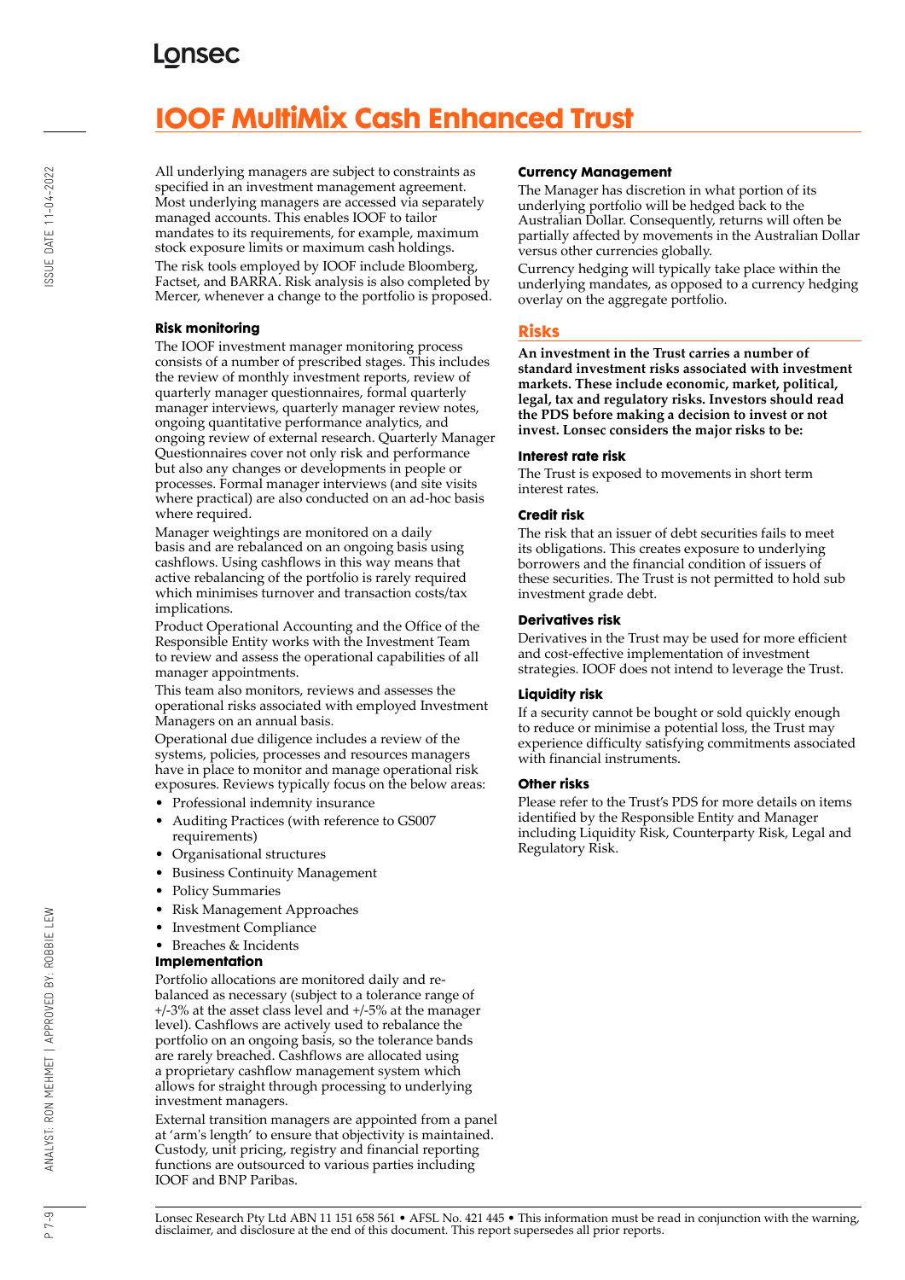# **IOOF MultiMix Cash Enhanced Trust**

All underlying managers are subject to constraints as specified in an investment management agreement. Most underlying managers are accessed via separately managed accounts. This enables IOOF to tailor mandates to its requirements, for example, maximum stock exposure limits or maximum cash holdings. The risk tools employed by IOOF include Bloomberg, Factset, and BARRA. Risk analysis is also completed by Mercer, whenever a change to the portfolio is proposed.

#### **Risk monitoring**

The IOOF investment manager monitoring process consists of a number of prescribed stages. This includes the review of monthly investment reports, review of quarterly manager questionnaires, formal quarterly manager interviews, quarterly manager review notes, ongoing quantitative performance analytics, and ongoing review of external research. Quarterly Manager Questionnaires cover not only risk and performance but also any changes or developments in people or processes. Formal manager interviews (and site visits where practical) are also conducted on an ad-hoc basis where required.

Manager weightings are monitored on a daily basis and are rebalanced on an ongoing basis using cashflows. Using cashflows in this way means that active rebalancing of the portfolio is rarely required which minimises turnover and transaction costs/tax implications.

Product Operational Accounting and the Office of the Responsible Entity works with the Investment Team to review and assess the operational capabilities of all manager appointments.

This team also monitors, reviews and assesses the operational risks associated with employed Investment Managers on an annual basis.

Operational due diligence includes a review of the systems, policies, processes and resources managers have in place to monitor and manage operational risk exposures. Reviews typically focus on the below areas:

- Professional indemnity insurance
- Auditing Practices (with reference to GS007 requirements)
- Organisational structures
- Business Continuity Management
- Policy Summaries
- Risk Management Approaches
- Investment Compliance
- Breaches & Incidents

#### **Implementation**

Portfolio allocations are monitored daily and rebalanced as necessary (subject to a tolerance range of +/-3% at the asset class level and +/-5% at the manager level). Cashflows are actively used to rebalance the portfolio on an ongoing basis, so the tolerance bands are rarely breached. Cashflows are allocated using a proprietary cashflow management system which allows for straight through processing to underlying investment managers.

External transition managers are appointed from a panel at 'arm's length' to ensure that objectivity is maintained. Custody, unit pricing, registry and financial reporting functions are outsourced to various parties including IOOF and BNP Paribas.

#### **Currency Management**

The Manager has discretion in what portion of its underlying portfolio will be hedged back to the Australian Dollar. Consequently, returns will often be partially affected by movements in the Australian Dollar versus other currencies globally.

Currency hedging will typically take place within the underlying mandates, as opposed to a currency hedging overlay on the aggregate portfolio.

#### **Risks**

**An investment in the Trust carries a number of standard investment risks associated with investment markets. These include economic, market, political, legal, tax and regulatory risks. Investors should read the PDS before making a decision to invest or not invest. Lonsec considers the major risks to be:**

#### **Interest rate risk**

The Trust is exposed to movements in short term interest rates.

#### **Credit risk**

The risk that an issuer of debt securities fails to meet its obligations. This creates exposure to underlying borrowers and the financial condition of issuers of these securities. The Trust is not permitted to hold sub investment grade debt.

#### **Derivatives risk**

Derivatives in the Trust may be used for more efficient and cost-effective implementation of investment strategies. IOOF does not intend to leverage the Trust.

#### **Liquidity risk**

If a security cannot be bought or sold quickly enough to reduce or minimise a potential loss, the Trust may experience difficulty satisfying commitments associated with financial instruments.

#### **Other risks**

Please refer to the Trust's PDS for more details on items identified by the Responsible Entity and Manager including Liquidity Risk, Counterparty Risk, Legal and Regulatory Risk.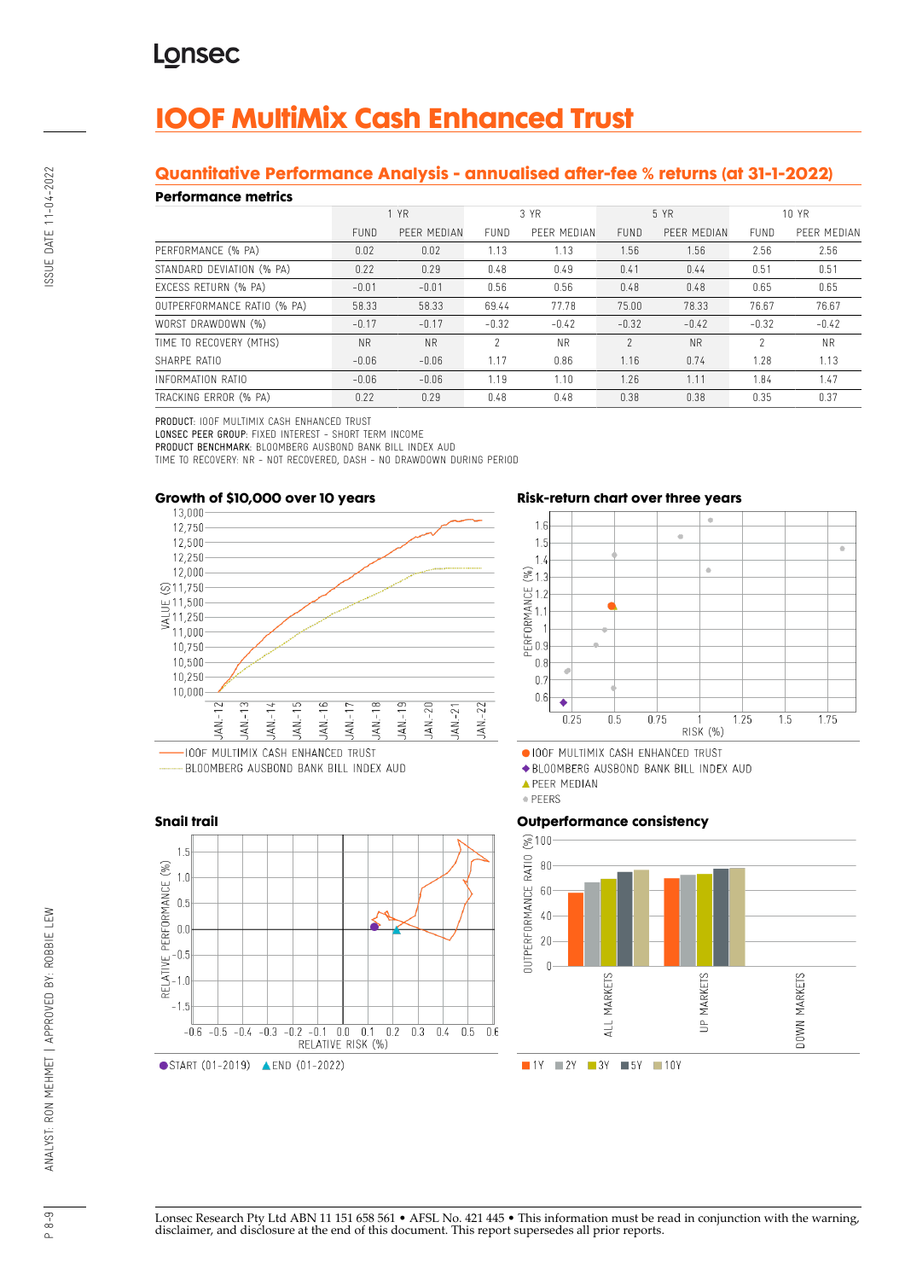# **IOOF MultiMix Cash Enhanced Trust**

#### **Quantitative Performance Analysis - annualised after-fee % returns (at 31-1-2022)**

#### **Performance metrics**

| . YN SITTINISY MITHY        |             |             |               |             |             |             |             |             |
|-----------------------------|-------------|-------------|---------------|-------------|-------------|-------------|-------------|-------------|
|                             | 1 YR        |             | 3 YR          |             | 5 YR        |             | 10 YR       |             |
|                             | <b>FUND</b> | PEER MEDIAN | <b>FUND</b>   | PEER MEDIAN | <b>FUND</b> | PEER MEDIAN | <b>FUND</b> | PEER MEDIAN |
| PERFORMANCE (% PA)          | 0.02        | 0.02        | 1.13          | 1.13        | 1.56        | 1.56        | 2.56        | 2.56        |
| STANDARD DEVIATION (% PA)   | 0.22        | 0.29        | 0.48          | 0.49        | 0.41        | 0.44        | 0.51        | 0.51        |
| EXCESS RETURN (% PA)        | $-0.01$     | $-0.01$     | 0.56          | 0.56        | 0.48        | 0.48        | 0.65        | 0.65        |
| OUTPERFORMANCE RATIO (% PA) | 58.33       | 58.33       | 69.44         | 77.78       | 75.00       | 78.33       | 76.67       | 76.67       |
| WORST DRAWDOWN (%)          | $-0.17$     | $-0.17$     | $-0.32$       | $-0.42$     | $-0.32$     | $-0.42$     | $-0.32$     | $-0.42$     |
| TIME TO RECOVERY (MTHS)     | <b>NR</b>   | <b>NR</b>   | $\mathcal{P}$ | <b>NR</b>   | $\gamma$    | <b>NR</b>   | 2           | <b>NR</b>   |
| SHARPE RATIO                | $-0.06$     | $-0.06$     | 1.17          | 0.86        | 1.16        | 0.74        | 1.28        | 1.13        |
| INFORMATION RATIO           | $-0.06$     | $-0.06$     | 1.19          | 1.10        | 1.26        | 1.11        | 1.84        | 1.47        |
| TRACKING ERROR (% PA)       | 0.22        | 0.29        | 0.48          | 0.48        | 0.38        | 0.38        | 0.35        | 0.37        |

PRODUCT: IOOF MULTIMIX CASH ENHANCED TRUST

LONSEC PEER GROUP: FIXED INTEREST - SHORT TERM INCOME

PRODUCT BENCHMARK: BLOOMBERG AUSBOND BANK BILL INDEX AUD

TIME TO RECOVERY: NR - NOT RECOVERED, DASH - NO DRAWDOWN DURING PERIOD



BLOOMBERG AUSBOND BANK BILL INDEX AUD



**Risk-return chart over three years**



OIOOF MULTIMIX CASH ENHANCED TRUST

◆ BLOOMBERG AUSBOND BANK BILL INDEX AUD

· PEERS

#### **Outperformance consistency**



Lonsec Research Pty Ltd ABN 11 151 658 561 • AFSL No. 421 445 • This information must be read in conjunction with the warning, disclaimer, and disclosure at the end of this document. This report supersedes all prior reports.

**APEER MEDIAN**